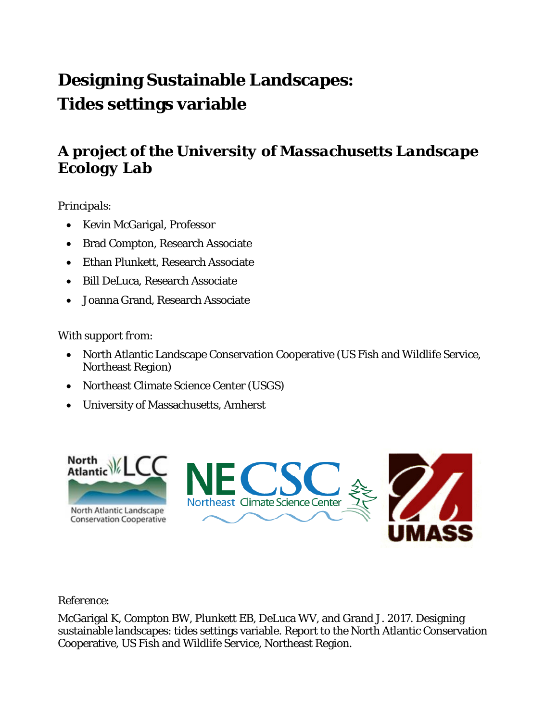# **Designing Sustainable Landscapes: Tides settings variable**

### *A project of the University of Massachusetts Landscape Ecology Lab*

#### *Principals*:

- Kevin McGarigal, Professor
- Brad Compton, Research Associate
- Ethan Plunkett, Research Associate
- Bill DeLuca, Research Associate
- Joanna Grand, Research Associate

#### *With support from*:

- North Atlantic Landscape Conservation Cooperative (US Fish and Wildlife Service, Northeast Region)
- Northeast Climate Science Center (USGS)
- University of Massachusetts, Amherst



#### *Reference*:

McGarigal K, Compton BW, Plunkett EB, DeLuca WV, and Grand J. 2017. Designing sustainable landscapes: tides settings variable. Report to the North Atlantic Conservation Cooperative, US Fish and Wildlife Service, Northeast Region.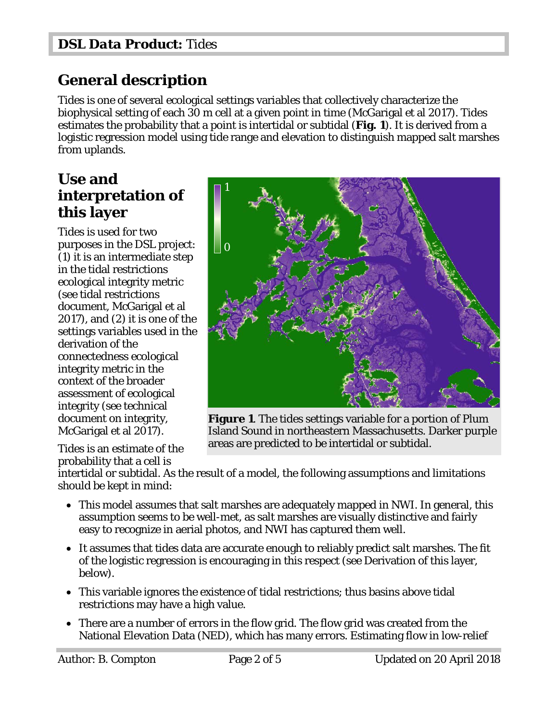### **General description**

Tides is one of several ecological settings variables that collectively characterize the biophysical setting of each 30 m cell at a given point in time (McGarigal et al 2017). Tides estimates the probability that a point is intertidal or subtidal (**Fig. 1**). It is derived from a logistic regression model using tide range and elevation to distinguish mapped salt marshes from uplands.

#### **Use and interpretation of this layer**

Tides is used for two purposes in the DSL project: (1) it is an intermediate step in the tidal restrictions ecological integrity metric (see tidal restrictions document, McGarigal et al 2017), and (2) it is one of the settings variables used in the derivation of the connectedness ecological integrity metric in the context of the broader assessment of ecological integrity (see technical document on integrity, McGarigal et al 2017).

Tides is an estimate of the probability that a cell is



**Figure 1**. The tides settings variable for a portion of Plum Island Sound in northeastern Massachusetts. Darker purple areas are predicted to be intertidal or subtidal.

intertidal or subtidal. As the result of a model, the following assumptions and limitations should be kept in mind:

- This model assumes that salt marshes are adequately mapped in NWI. In general, this assumption seems to be well-met, as salt marshes are visually distinctive and fairly easy to recognize in aerial photos, and NWI has captured them well.
- It assumes that tides data are accurate enough to reliably predict salt marshes. The fit of the logistic regression is encouraging in this respect (see Derivation of this layer, below).
- This variable ignores the existence of tidal restrictions; thus basins above tidal restrictions may have a high value.
- There are a number of errors in the flow grid. The flow grid was created from the National Elevation Data (NED), which has many errors. Estimating flow in low-relief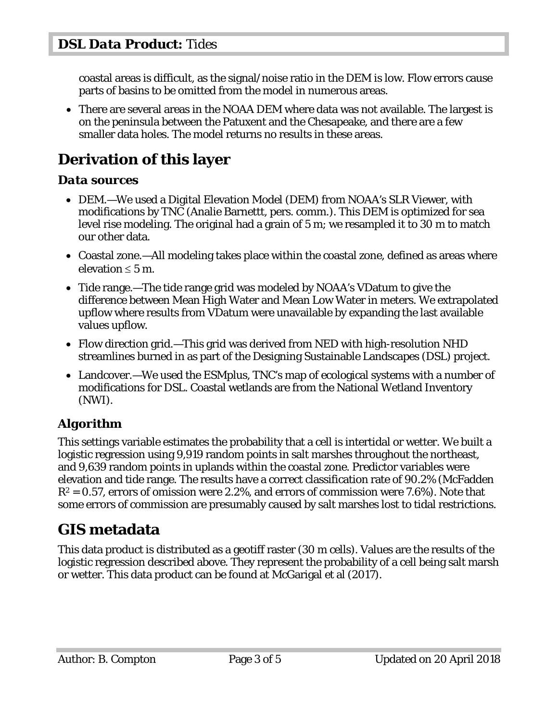coastal areas is difficult, as the signal/noise ratio in the DEM is low. Flow errors cause parts of basins to be omitted from the model in numerous areas.

• There are several areas in the NOAA DEM where data was not available. The largest is on the peninsula between the Patuxent and the Chesapeake, and there are a few smaller data holes. The model returns no results in these areas.

# **Derivation of this layer**

#### *Data sources*

- DEM.—We used a Digital Elevation Model (DEM) from NOAA's SLR Viewer, with modifications by TNC (Analie Barnettt, pers. comm.). This DEM is optimized for sea level rise modeling. The original had a grain of 5 m; we resampled it to 30 m to match our other data.
- Coastal zone.—All modeling takes place within the coastal zone, defined as areas where elevation  $\leq 5$  m.
- Tide range.—The tide range grid was modeled by NOAA's VDatum to give the difference between Mean High Water and Mean Low Water in meters. We extrapolated upflow where results from VDatum were unavailable by expanding the last available values upflow.
- Flow direction grid.—This grid was derived from NED with high-resolution NHD streamlines burned in as part of the Designing Sustainable Landscapes (DSL) project.
- Landcover.—We used the ESMplus, TNC's map of ecological systems with a number of modifications for DSL. Coastal wetlands are from the National Wetland Inventory (NWI).

### *Algorithm*

This settings variable estimates the probability that a cell is intertidal or wetter. We built a logistic regression using 9,919 random points in salt marshes throughout the northeast, and 9,639 random points in uplands within the coastal zone. Predictor variables were elevation and tide range. The results have a correct classification rate of 90.2% (McFadden *R*<sup>2</sup> = 0.57, errors of omission were 2.2%, and errors of commission were 7.6%). Note that some errors of commission are presumably caused by salt marshes lost to tidal restrictions.

# **GIS metadata**

This data product is distributed as a geotiff raster (30 m cells). Values are the results of the logistic regression described above. They represent the probability of a cell being salt marsh or wetter. This data product can be found at McGarigal et al (2017).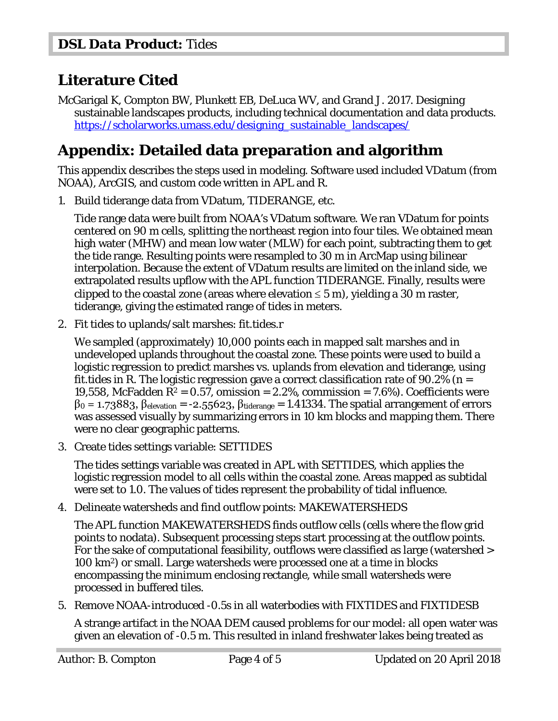## **Literature Cited**

McGarigal K, Compton BW, Plunkett EB, DeLuca WV, and Grand J. 2017. Designing sustainable landscapes products, including technical documentation and data products. [https://scholarworks.umass.edu/designing\\_sustainable\\_landscapes/](https://scholarworks.umass.edu/designing_sustainable_landscapes/)

## **Appendix: Detailed data preparation and algorithm**

This appendix describes the steps used in modeling. Software used included VDatum (from NOAA), ArcGIS, and custom code written in APL and R.

1. Build tiderange data from VDatum, TIDERANGE, etc.

Tide range data were built from NOAA's VDatum software. We ran VDatum for points centered on 90 m cells, splitting the northeast region into four tiles. We obtained mean high water (MHW) and mean low water (MLW) for each point, subtracting them to get the tide range. Resulting points were resampled to 30 m in ArcMap using bilinear interpolation. Because the extent of VDatum results are limited on the inland side, we extrapolated results upflow with the APL function TIDERANGE. Finally, results were clipped to the coastal zone (areas where elevation  $\leq$  5 m), yielding a 30 m raster, tiderange, giving the estimated range of tides in meters.

2. Fit tides to uplands/salt marshes: fit.tides.r

We sampled (approximately) 10,000 points each in mapped salt marshes and in undeveloped uplands throughout the coastal zone. These points were used to build a logistic regression to predict marshes vs. uplands from elevation and tiderange, using fit.tides in R. The logistic regression gave a correct classification rate of  $90.2\%$  (n = 19,558, McFadden  $R^2 = 0.57$ , omission  $= 2.2\%$ , commission  $= 7.6\%$ ). Coefficients were  $β_0 = 1.73883, β<sub>elevation</sub> = -2.55623, β<sub>tiderange</sub> = 1.41334. The spatial arrangement of errors$ was assessed visually by summarizing errors in 10 km blocks and mapping them. There were no clear geographic patterns.

3. Create tides settings variable: SETTIDES

The tides settings variable was created in APL with SETTIDES, which applies the logistic regression model to all cells within the coastal zone. Areas mapped as subtidal were set to 1.0. The values of tides represent the probability of tidal influence.

4. Delineate watersheds and find outflow points: MAKEWATERSHEDS

The APL function MAKEWATERSHEDS finds outflow cells (cells where the flow grid points to nodata). Subsequent processing steps start processing at the outflow points. For the sake of computational feasibility, outflows were classified as large (watershed > 100 km2) or small. Large watersheds were processed one at a time in blocks encompassing the minimum enclosing rectangle, while small watersheds were processed in buffered tiles.

5. Remove NOAA-introduced -0.5s in all waterbodies with FIXTIDES and FIXTIDESB

A strange artifact in the NOAA DEM caused problems for our model: all open water was given an elevation of -0.5 m. This resulted in inland freshwater lakes being treated as